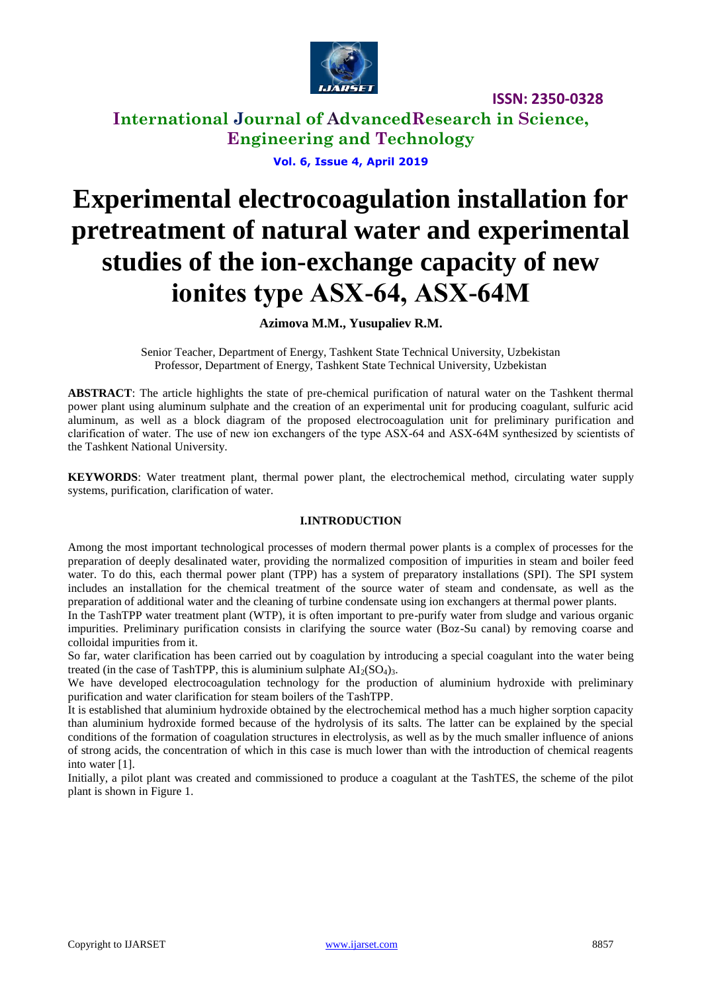

## **International Journal of AdvancedResearch in Science, Engineering and Technology**

**Vol. 6, Issue 4, April 2019**

# **Experimental electrocoagulation installation for pretreatment of natural water and experimental studies of the ion-exchange capacity of new ionites type АSХ-64, АSХ-64М**

### **Azimova M.M., Yusupaliev R.M.**

Senior Teacher, Department of Energy, Tashkent State Technical University, Uzbekistan Professor, Department of Energy, Tashkent State Technical University, Uzbekistan

**ABSTRACT**: The article highlights the state of pre-chemical purification of natural water on the Tashkent thermal power plant using aluminum sulphate and the creation of an experimental unit for producing coagulant, sulfuric acid aluminum, as well as a block diagram of the proposed electrocoagulation unit for preliminary purification and clarification of water. The use of new ion exchangers of the type АSХ-64 and АSХ-64М synthesized by scientists of the Tashkent National University.

**KEYWORDS**: Water treatment plant, thermal power plant, the electrochemical method, circulating water supply systems, purification, clarification of water.

### **I.INTRODUCTION**

Among the most important technological processes of modern thermal power plants is a complex of processes for the preparation of deeply desalinated water, providing the normalized composition of impurities in steam and boiler feed water. To do this, each thermal power plant (TPP) has a system of preparatory installations (SPI). The SPI system includes an installation for the chemical treatment of the source water of steam and condensate, as well as the preparation of additional water and the cleaning of turbine condensate using ion exchangers at thermal power plants.

In the TashTPP water treatment plant (WTP), it is often important to pre-purify water from sludge and various organic impurities. Preliminary purification consists in clarifying the source water (Boz-Su canal) by removing coarse and colloidal impurities from it.

So far, water clarification has been carried out by coagulation by introducing a special coagulant into the water being treated (in the case of TashTPP, this is aluminium sulphate  $AI_2(SO_4)_3$ .

We have developed electrocoagulation technology for the production of aluminium hydroxide with preliminary purification and water clarification for steam boilers of the TashTPP.

It is established that aluminium hydroxide obtained by the electrochemical method has a much higher sorption capacity than aluminium hydroxide formed because of the hydrolysis of its salts. The latter can be explained by the special conditions of the formation of coagulation structures in electrolysis, as well as by the much smaller influence of anions of strong acids, the concentration of which in this case is much lower than with the introduction of chemical reagents into water [1].

Initially, a pilot plant was created and commissioned to produce a coagulant at the TashTES, the scheme of the pilot plant is shown in Figure 1.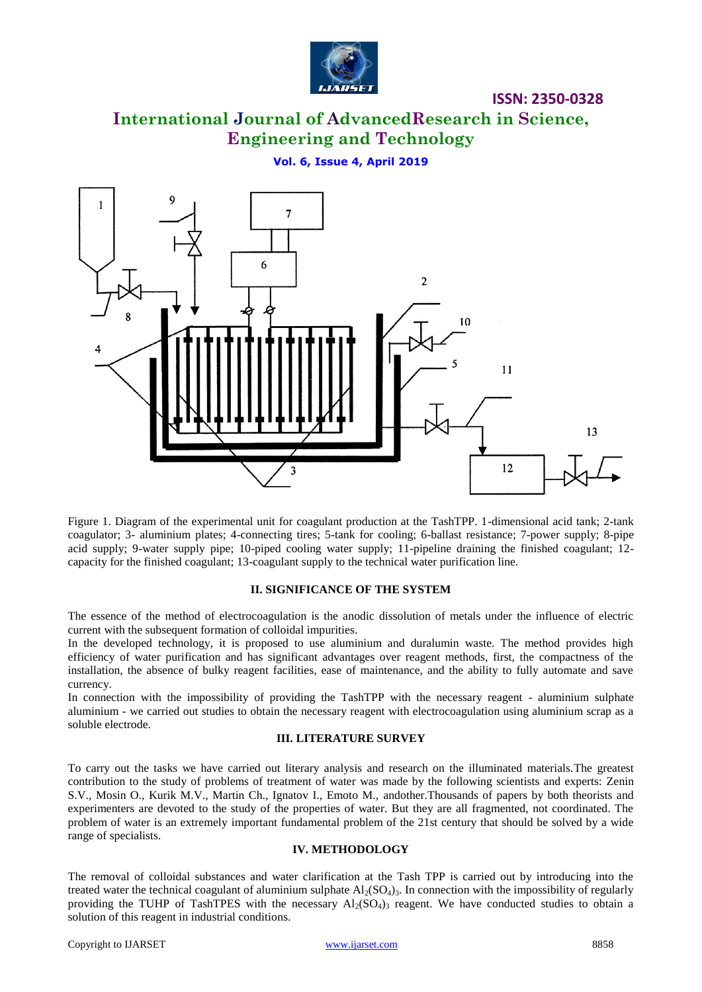

# **International Journal of AdvancedResearch in Science, Engineering and Technology**

#### **Vol. 6, Issue 4, April 2019**



Figure 1. Diagram of the experimental unit for coagulant production at the TashTPP. 1-dimensional acid tank; 2-tank coagulator; 3- aluminium plates; 4-connecting tires; 5-tank for cooling; 6-ballast resistance; 7-power supply; 8-pipe acid supply; 9-water supply pipe; 10-piped cooling water supply; 11-pipeline draining the finished coagulant; 12 capacity for the finished coagulant; 13-coagulant supply to the technical water purification line.

#### **II. SIGNIFICANCE OF THE SYSTEM**

The essence of the method of electrocoagulation is the anodic dissolution of metals under the influence of electric current with the subsequent formation of colloidal impurities.

In the developed technology, it is proposed to use aluminium and duralumin waste. The method provides high efficiency of water purification and has significant advantages over reagent methods, first, the compactness of the installation, the absence of bulky reagent facilities, ease of maintenance, and the ability to fully automate and save currency.

In connection with the impossibility of providing the TashTPP with the necessary reagent - aluminium sulphate aluminium - we carried out studies to obtain the necessary reagent with electrocoagulation using aluminium scrap as a soluble electrode.

#### **III. LITERATURE SURVEY**

To carry out the tasks we have carried out literary analysis and research on the illuminated materials.The greatest contribution to the study of problems of treatment of water was made by the following scientists and experts: Zenin S.V., Mosin O., Kurik M.V., Martin Ch., Ignatov I., Emoto M., andother.Thousands of papers by both theorists and experimenters are devoted to the study of the properties of water. But they are all fragmented, not coordinated. The problem of water is an extremely important fundamental problem of the 21st century that should be solved by a wide range of specialists.

#### **IV. METHODOLOGY**

The removal of colloidal substances and water clarification at the Tash TPP is carried out by introducing into the treated water the technical coagulant of aluminium sulphate  $Al_2(SO_4)$ <sup>3</sup>. In connection with the impossibility of regularly providing the TUHP of TashTPES with the necessary Al<sub>2</sub>(SO<sub>4</sub>)<sub>3</sub> reagent. We have conducted studies to obtain a solution of this reagent in industrial conditions.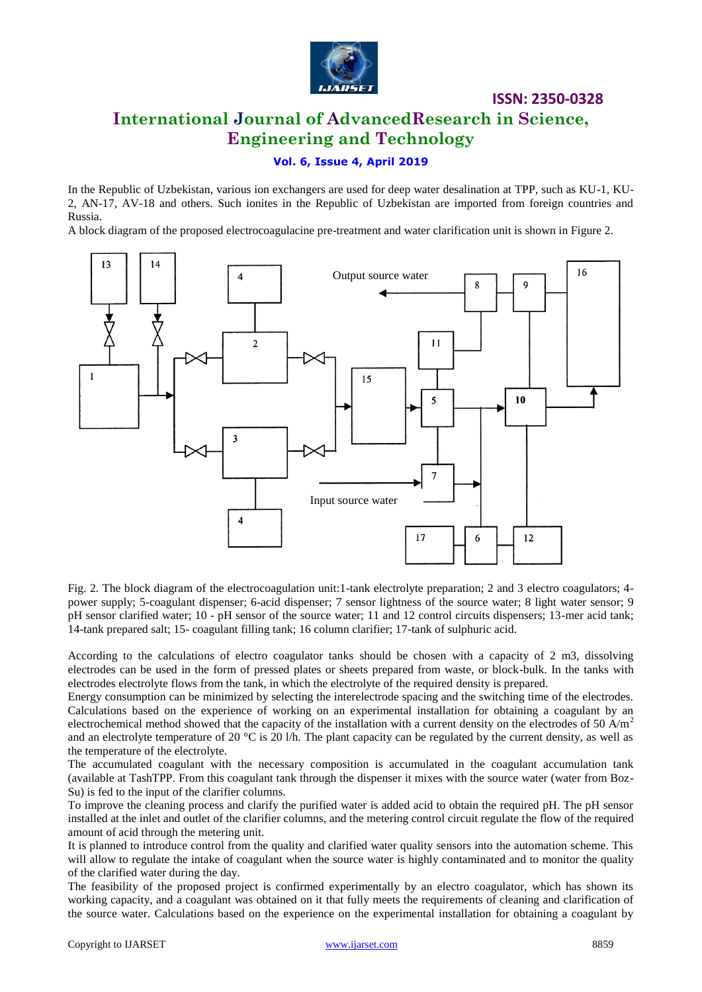

### **International Journal of AdvancedResearch in Science, Engineering and Technology**

### **Vol. 6, Issue 4, April 2019**

In the Republic of Uzbekistan, various ion exchangers are used for deep water desalination at TPP, such as KU-1, KU-2, AN-17, AV-18 and others. Such ionites in the Republic of Uzbekistan are imported from foreign countries and Russia.

A block diagram of the proposed electrocoagulacine pre-treatment and water clarification unit is shown in Figure 2.



Fig. 2. The block diagram of the electrocoagulation unit:1-tank electrolyte preparation; 2 and 3 electro coagulators; 4 power supply; 5-coagulant dispenser; 6-acid dispenser; 7 sensor lightness of the source water; 8 light water sensor; 9 pH sensor clarified water; 10 - pH sensor of the source water; 11 and 12 control circuits dispensers; 13-mer acid tank; 14-tank prepared salt; 15- coagulant filling tank; 16 column clarifier; 17-tank of sulphuric acid.

According to the calculations of electro coagulator tanks should be chosen with a capacity of 2 m3, dissolving electrodes can be used in the form of pressed plates or sheets prepared from waste, or block-bulk. In the tanks with electrodes electrolyte flows from the tank, in which the electrolyte of the required density is prepared.

Energy consumption can be minimized by selecting the interelectrode spacing and the switching time of the electrodes. Calculations based on the experience of working on an experimental installation for obtaining a coagulant by an electrochemical method showed that the capacity of the installation with a current density on the electrodes of 50  $A/m<sup>2</sup>$ and an electrolyte temperature of 20  $\degree$ C is 20 l/h. The plant capacity can be regulated by the current density, as well as the temperature of the electrolyte.

The accumulated coagulant with the necessary composition is accumulated in the coagulant accumulation tank (available at TashTPP. From this coagulant tank through the dispenser it mixes with the source water (water from Boz-Su) is fed to the input of the clarifier columns.

To improve the cleaning process and clarify the purified water is added acid to obtain the required pH. The pH sensor installed at the inlet and outlet of the clarifier columns, and the metering control circuit regulate the flow of the required amount of acid through the metering unit.

It is planned to introduce control from the quality and clarified water quality sensors into the automation scheme. This will allow to regulate the intake of coagulant when the source water is highly contaminated and to monitor the quality of the clarified water during the day.

The feasibility of the proposed project is confirmed experimentally by an electro coagulator, which has shown its working capacity, and a coagulant was obtained on it that fully meets the requirements of cleaning and clarification of the source water. Calculations based on the experience on the experimental installation for obtaining a coagulant by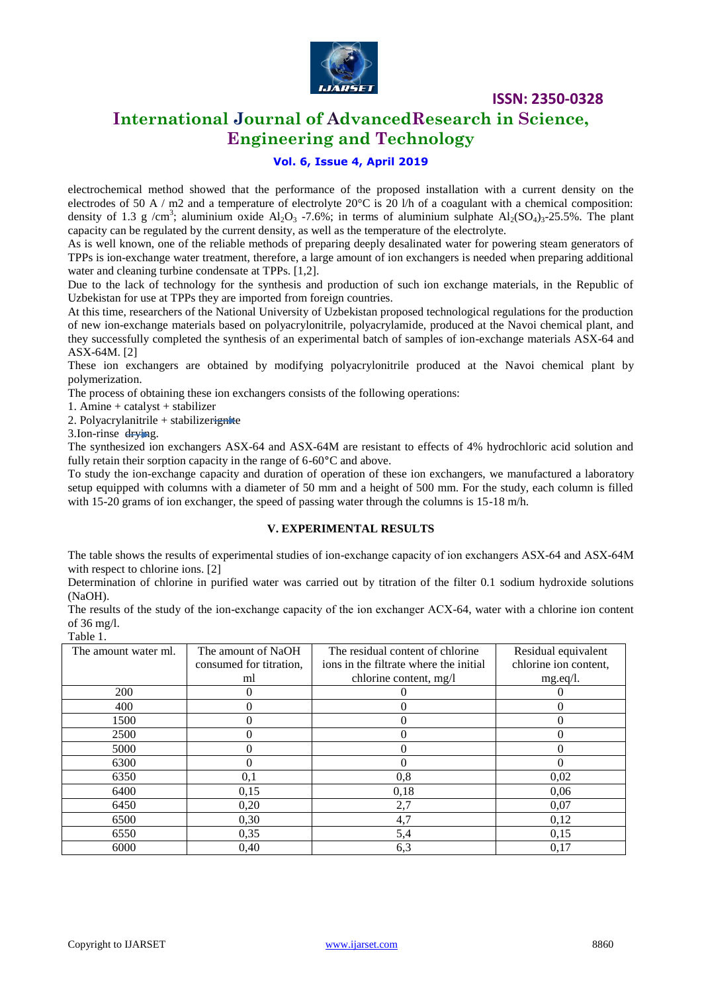

# **International Journal of AdvancedResearch in Science, Engineering and Technology**

### **Vol. 6, Issue 4, April 2019**

electrochemical method showed that the performance of the proposed installation with a current density on the electrodes of 50 A / m2 and a temperature of electrolyte  $20^{\circ}$ C is 20 l/h of a coagulant with a chemical composition: density of 1.3 g /cm<sup>3</sup>; aluminium oxide Al<sub>2</sub>O<sub>3</sub> -7.6%; in terms of aluminium sulphate Al<sub>2</sub>(SO<sub>4</sub>)<sub>3</sub>-25.5%. The plant capacity can be regulated by the current density, as well as the temperature of the electrolyte.

As is well known, one of the reliable methods of preparing deeply desalinated water for powering steam generators of TPPs is ion-exchange water treatment, therefore, a large amount of ion exchangers is needed when preparing additional water and cleaning turbine condensate at TPPs. [1,2].

Due to the lack of technology for the synthesis and production of such ion exchange materials, in the Republic of Uzbekistan for use at TPPs they are imported from foreign countries.

At this time, researchers of the National University of Uzbekistan proposed technological regulations for the production of new ion-exchange materials based on polyacrylonitrile, polyacrylamide, produced at the Navoi chemical plant, and they successfully completed the synthesis of an experimental batch of samples of ion-exchange materials ASX-64 and ASX-64M. [2]

These ion exchangers are obtained by modifying polyacrylonitrile produced at the Navoi chemical plant by polymerization.

The process of obtaining these ion exchangers consists of the following operations:

1. Amine + catalyst + stabilizer

2. Polyacrylanitrile + stabilizerignite

3.Ion-rinse drying.

The synthesized ion exchangers ASX-64 and ASX-64M are resistant to effects of 4% hydrochloric acid solution and fully retain their sorption capacity in the range of 6-60**°**C and above.

To study the ion-exchange capacity and duration of operation of these ion exchangers, we manufactured a laboratory setup equipped with columns with a diameter of 50 mm and a height of 500 mm. For the study, each column is filled with 15-20 grams of ion exchanger, the speed of passing water through the columns is 15-18 m/h.

#### **V. EXPERIMENTAL RESULTS**

The table shows the results of experimental studies of ion-exchange capacity of ion exchangers ASX-64 and ASX-64M with respect to chlorine ions. [2]

Determination of chlorine in purified water was carried out by titration of the filter 0.1 sodium hydroxide solutions (NaOH).

The results of the study of the ion-exchange capacity of the ion exchanger АСХ-64, water with a chlorine ion content of 36 mg/l. Table 1.

| The amount water ml. | The amount of NaOH      | The residual content of chlorine       | Residual equivalent   |
|----------------------|-------------------------|----------------------------------------|-----------------------|
|                      | consumed for titration, | ions in the filtrate where the initial | chlorine ion content, |
|                      | ml                      | chlorine content, mg/l                 | mg.eq/l.              |
| 200                  | 0                       |                                        |                       |
| 400                  | 0                       |                                        |                       |
| 1500                 | 0                       |                                        | $\Omega$              |
| 2500                 | 0                       |                                        |                       |
| 5000                 |                         |                                        |                       |
| 6300                 | $\Omega$                |                                        |                       |
| 6350                 | 0,1                     | 0,8                                    | 0,02                  |
| 6400                 | 0.15                    | 0,18                                   | 0.06                  |
| 6450                 | 0,20                    | 2,7                                    | 0.07                  |
| 6500                 | 0,30                    | 4,7                                    | 0,12                  |
| 6550                 | 0,35                    | 5,4                                    | 0,15                  |
| 6000                 | 0,40                    | 6,3                                    | 0,17                  |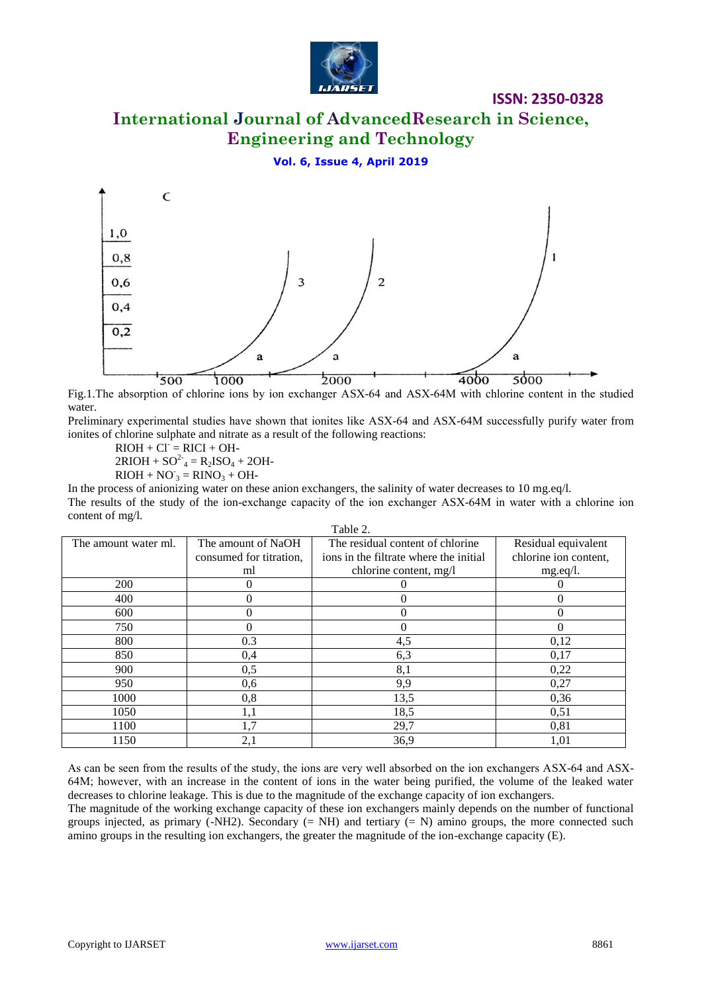

# **International Journal of AdvancedResearch in Science, Engineering and Technology**

#### **Vol. 6, Issue 4, April 2019**



Fig.1.The absorption of chlorine ions by ion exchanger АSХ-64 and АSХ-64М with chlorine content in the studied water.

Preliminary experimental studies have shown that ionites like АSХ-64 and АSХ-64М successfully purify water from ionites of chlorine sulphate and nitrate as a result of the following reactions:

 $RIOH + Cl = RICI + OH -$ 

 $2RIOH + SO^{2-} = R_2ISO_4 + 2OH$ 

 $RIOH + NO_3 = RINO_3 + OH-$ 

In the process of anionizing water on these anion exchangers, the salinity of water decreases to 10 mg.eq/l. The results of the study of the ion-exchange capacity of the ion exchanger ASX-64M in water with a chlorine ion content of mg/l.  $\overline{a}$   $\overline{b}$ 

| Table 2.             |                         |                                        |                       |  |
|----------------------|-------------------------|----------------------------------------|-----------------------|--|
| The amount water ml. | The amount of NaOH      | The residual content of chlorine       | Residual equivalent   |  |
|                      | consumed for titration, | ions in the filtrate where the initial | chlorine ion content, |  |
|                      | ml                      | chlorine content, mg/l                 | mg.eq/l.              |  |
| 200                  | 0                       |                                        |                       |  |
| 400                  | $\Omega$                | 0                                      | $\theta$              |  |
| 600                  | $\Omega$                |                                        |                       |  |
| 750                  | $\theta$                |                                        | $\theta$              |  |
| 800                  | 0.3                     | 4,5                                    | 0,12                  |  |
| 850                  | 0,4                     | 6,3                                    | 0,17                  |  |
| 900                  | 0,5                     | 8,1                                    | 0,22                  |  |
| 950                  | 0,6                     | 9,9                                    | 0,27                  |  |
| 1000                 | 0,8                     | 13,5                                   | 0,36                  |  |
| 1050                 | 1,1                     | 18,5                                   | 0,51                  |  |
| 1100                 | 1,7                     | 29,7                                   | 0,81                  |  |
| 1150                 | 2,1                     | 36,9                                   | 1,01                  |  |

As can be seen from the results of the study, the ions are very well absorbed on the ion exchangers АSХ-64 and АSХ-64М; however, with an increase in the content of ions in the water being purified, the volume of the leaked water decreases to chlorine leakage. This is due to the magnitude of the exchange capacity of ion exchangers.

The magnitude of the working exchange capacity of these ion exchangers mainly depends on the number of functional groups injected, as primary (-NH2). Secondary  $(= NH)$  and tertiary  $(= N)$  amino groups, the more connected such amino groups in the resulting ion exchangers, the greater the magnitude of the ion-exchange capacity (E).